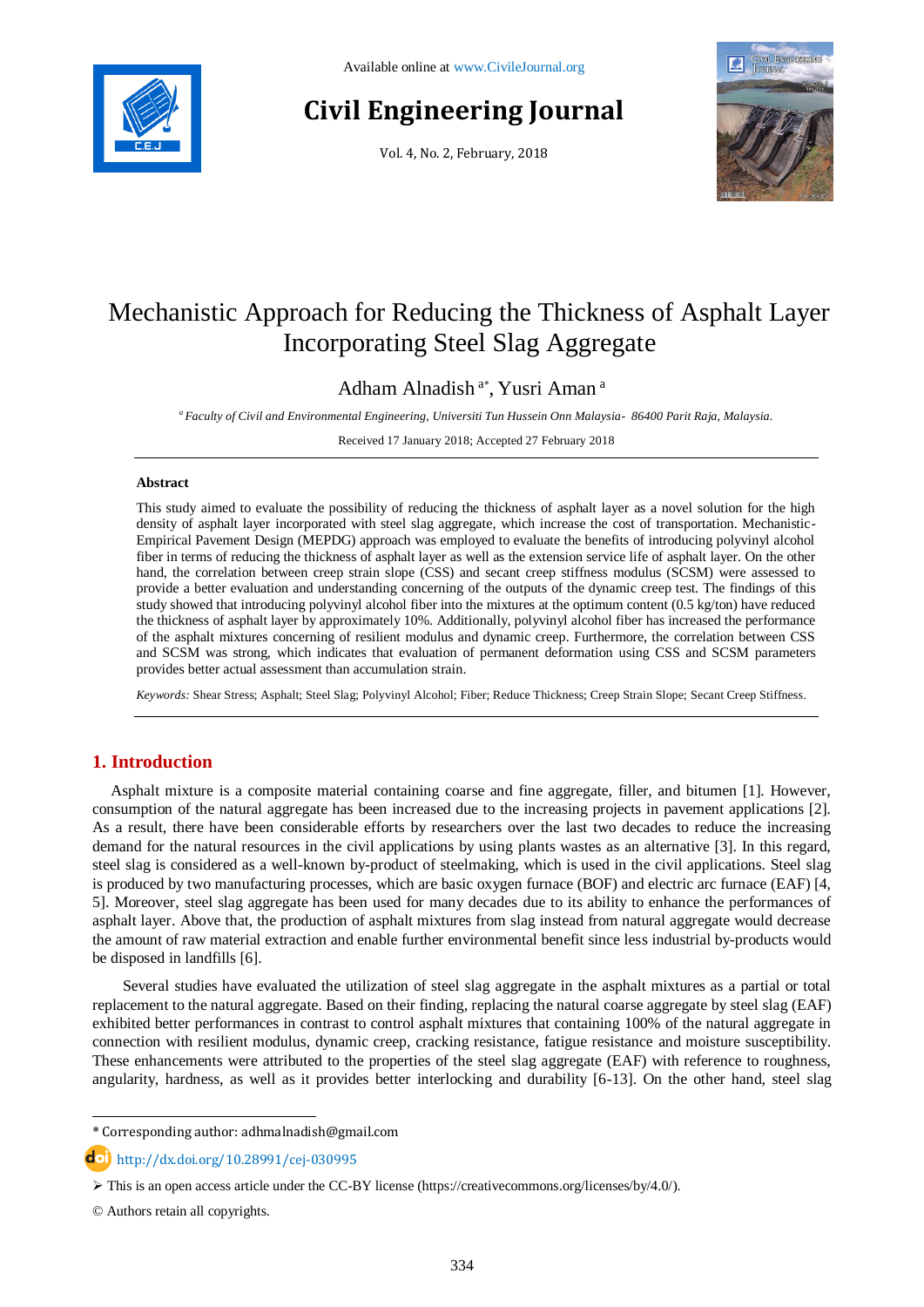

# **Civil Engineering Journal**

Vol. 4, No. 2, February, 2018



## Mechanistic Approach for Reducing the Thickness of Asphalt Layer Incorporating Steel Slag Aggregate

Adham Alnadish<sup>a\*</sup>, Yusri Aman<sup>a</sup>

*<sup>a</sup> Faculty of Civil and Environmental Engineering, Universiti Tun Hussein Onn Malaysia- 86400 Parit Raja, Malaysia.*

Received 17 January 2018; Accepted 27 February 2018

#### **Abstract**

This study aimed to evaluate the possibility of reducing the thickness of asphalt layer as a novel solution for the high density of asphalt layer incorporated with steel slag aggregate, which increase the cost of transportation. Mechanistic-Empirical Pavement Design (MEPDG) approach was employed to evaluate the benefits of introducing polyvinyl alcohol fiber in terms of reducing the thickness of asphalt layer as well as the extension service life of asphalt layer. On the other hand, the correlation between creep strain slope (CSS) and secant creep stiffness modulus (SCSM) were assessed to provide a better evaluation and understanding concerning of the outputs of the dynamic creep test. The findings of this study showed that introducing polyvinyl alcohol fiber into the mixtures at the optimum content (0.5 kg/ton) have reduced the thickness of asphalt layer by approximately 10%. Additionally, polyvinyl alcohol fiber has increased the performance of the asphalt mixtures concerning of resilient modulus and dynamic creep. Furthermore, the correlation between CSS and SCSM was strong, which indicates that evaluation of permanent deformation using CSS and SCSM parameters provides better actual assessment than accumulation strain.

*Keywords:* Shear Stress; Asphalt; Steel Slag; Polyvinyl Alcohol; Fiber; Reduce Thickness; Creep Strain Slope; Secant Creep Stiffness.

### **1. Introduction**

Asphalt mixture is a composite material containing coarse and fine aggregate, filler, and bitumen [1]. However, consumption of the natural aggregate has been increased due to the increasing projects in pavement applications [2]. As a result, there have been considerable efforts by researchers over the last two decades to reduce the increasing demand for the natural resources in the civil applications by using plants wastes as an alternative [3]. In this regard, steel slag is considered as a well-known by-product of steelmaking, which is used in the civil applications. Steel slag is produced by two manufacturing processes, which are basic oxygen furnace (BOF) and electric arc furnace (EAF) [4, 5]. Moreover, steel slag aggregate has been used for many decades due to its ability to enhance the performances of asphalt layer. Above that, the production of asphalt mixtures from slag instead from natural aggregate would decrease the amount of raw material extraction and enable further environmental benefit since less industrial by-products would be disposed in landfills [6].

 Several studies have evaluated the utilization of steel slag aggregate in the asphalt mixtures as a partial or total replacement to the natural aggregate. Based on their finding, replacing the natural coarse aggregate by steel slag (EAF) exhibited better performances in contrast to control asphalt mixtures that containing 100% of the natural aggregate in connection with resilient modulus, dynamic creep, cracking resistance, fatigue resistance and moisture susceptibility. These enhancements were attributed to the properties of the steel slag aggregate (EAF) with reference to roughness, angularity, hardness, as well as it provides better interlocking and durability [6-13]. On the other hand, steel slag

l

<sup>\*</sup> Corresponding author: adhmalnadish@gmail.com

**d**ol <http://dx.doi.org/10.28991/cej-030995>

 $\triangleright$  This is an open access article under the CC-BY license [\(https://creativecommons.org/licenses/by/4.0/\)](https://creativecommons.org/licenses/by/4.0/).

<sup>©</sup> Authors retain all copyrights.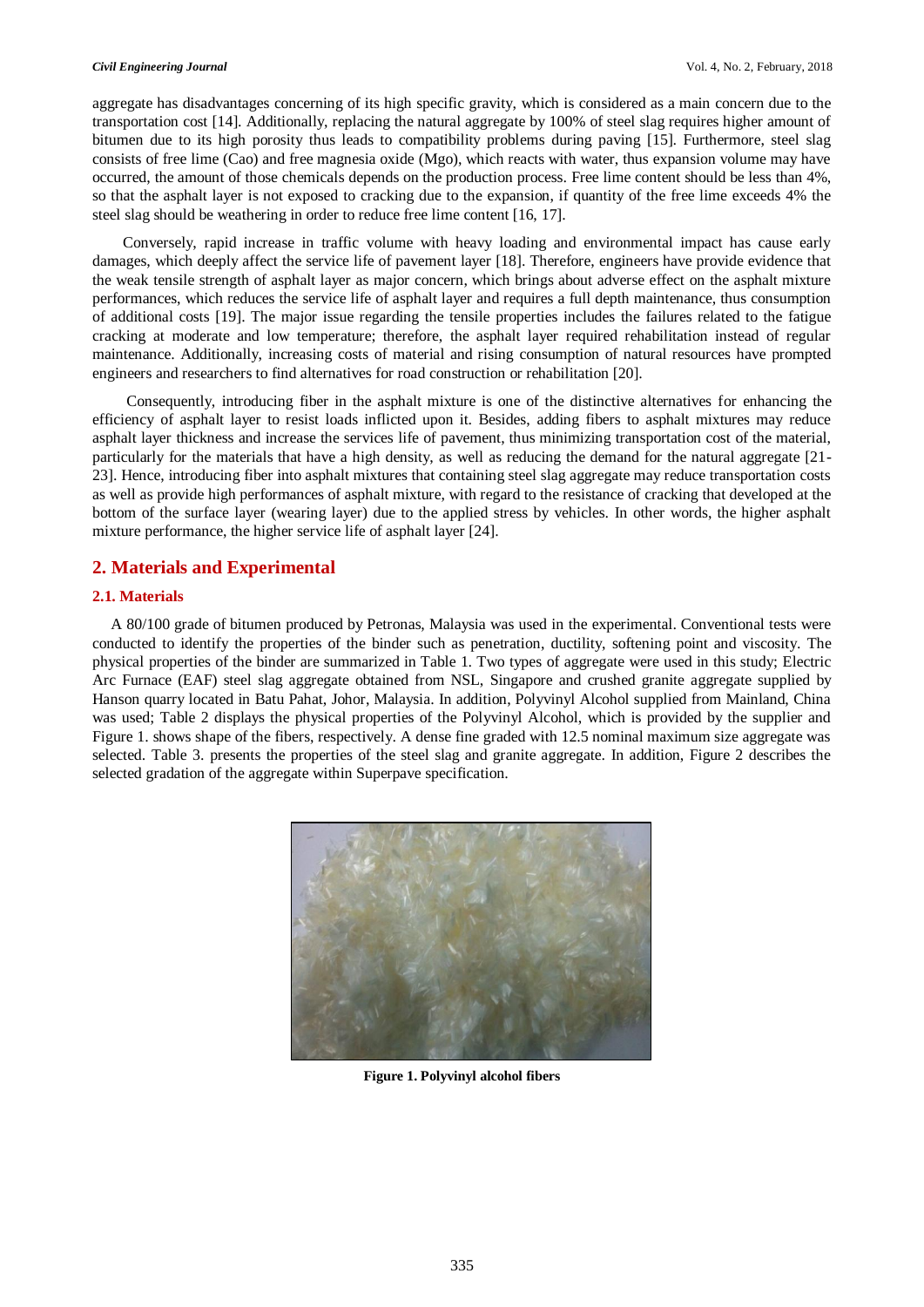aggregate has disadvantages concerning of its high specific gravity, which is considered as a main concern due to the transportation cost [14]. Additionally, replacing the natural aggregate by 100% of steel slag requires higher amount of bitumen due to its high porosity thus leads to compatibility problems during paving [15]. Furthermore, steel slag consists of free lime (Cao) and free magnesia oxide (Mgo), which reacts with water, thus expansion volume may have occurred, the amount of those chemicals depends on the production process. Free lime content should be less than 4%, so that the asphalt layer is not exposed to cracking due to the expansion, if quantity of the free lime exceeds 4% the steel slag should be weathering in order to reduce free lime content [16, 17].

 Conversely, rapid increase in traffic volume with heavy loading and environmental impact has cause early damages, which deeply affect the service life of pavement layer [18]. Therefore, engineers have provide evidence that the weak tensile strength of asphalt layer as major concern, which brings about adverse effect on the asphalt mixture performances, which reduces the service life of asphalt layer and requires a full depth maintenance, thus consumption of additional costs [19]. The major issue regarding the tensile properties includes the failures related to the fatigue cracking at moderate and low temperature; therefore, the asphalt layer required rehabilitation instead of regular maintenance. Additionally, increasing costs of material and rising consumption of natural resources have prompted engineers and researchers to find alternatives for road construction or rehabilitation [20].

 Consequently, introducing fiber in the asphalt mixture is one of the distinctive alternatives for enhancing the efficiency of asphalt layer to resist loads inflicted upon it. Besides, adding fibers to asphalt mixtures may reduce asphalt layer thickness and increase the services life of pavement, thus minimizing transportation cost of the material, particularly for the materials that have a high density, as well as reducing the demand for the natural aggregate [21- 23]. Hence, introducing fiber into asphalt mixtures that containing steel slag aggregate may reduce transportation costs as well as provide high performances of asphalt mixture, with regard to the resistance of cracking that developed at the bottom of the surface layer (wearing layer) due to the applied stress by vehicles. In other words, the higher asphalt mixture performance, the higher service life of asphalt layer [24].

#### **2. Materials and Experimental**

#### **2.1. Materials**

A 80/100 grade of bitumen produced by Petronas, Malaysia was used in the experimental. Conventional tests were conducted to identify the properties of the binder such as penetration, ductility, softening point and viscosity. The physical properties of the binder are summarized in Table 1. Two types of aggregate were used in this study; Electric Arc Furnace (EAF) steel slag aggregate obtained from NSL, Singapore and crushed granite aggregate supplied by Hanson quarry located in Batu Pahat, Johor, Malaysia. In addition, Polyvinyl Alcohol supplied from Mainland, China was used; Table 2 displays the physical properties of the Polyvinyl Alcohol, which is provided by the supplier and Figure 1. shows shape of the fibers, respectively. A dense fine graded with 12.5 nominal maximum size aggregate was selected. Table 3. presents the properties of the steel slag and granite aggregate. In addition, Figure 2 describes the selected gradation of the aggregate within Superpave specification.



**Figure 1. Polyvinyl alcohol fibers**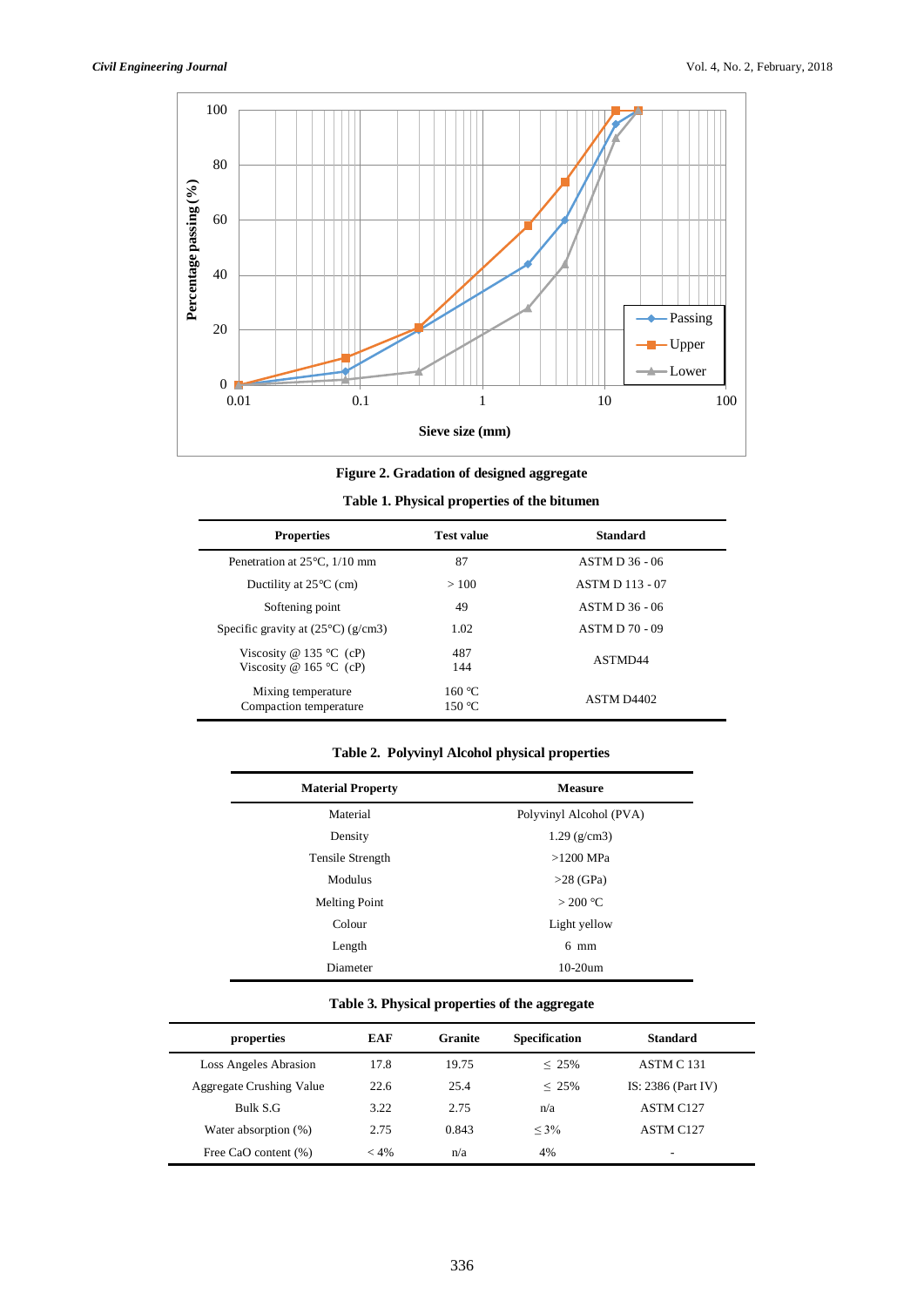l,



**Figure 2. Gradation of designed aggregate**

| Table 1. Physical properties of the bitumen |  |  |
|---------------------------------------------|--|--|
|---------------------------------------------|--|--|

| <b>Properties</b>                                  | <b>Test value</b>    | <b>Standard</b>        |
|----------------------------------------------------|----------------------|------------------------|
| Penetration at $25^{\circ}$ C, $1/10$ mm           | 87                   | ASTM D 36 - 06         |
| Ductility at $25^{\circ}$ C (cm)                   | >100                 | <b>ASTM D 113 - 07</b> |
| Softening point                                    | 49<br>ASTM D 36 - 06 |                        |
| Specific gravity at $(25^{\circ}C)(g/cm3)$         | 1.02                 | <b>ASTM D 70 - 09</b>  |
| Viscosity @ 135 °C (cP)<br>Viscosity @ 165 °C (cP) | 487<br>144           | ASTMD44                |
| Mixing temperature<br>Compaction temperature       | 160 °C<br>150 °C     | ASTM D4402             |

#### **Table 2. Polyvinyl Alcohol physical properties**

| <b>Material Property</b> | <b>Measure</b>          |  |  |
|--------------------------|-------------------------|--|--|
| Material                 | Polyvinyl Alcohol (PVA) |  |  |
| Density                  | $1.29$ (g/cm3)          |  |  |
| Tensile Strength         | $>1200$ MPa             |  |  |
| Modulus                  | $>28$ (GPa)             |  |  |
| <b>Melting Point</b>     | $>$ 200 °C              |  |  |
| Colour                   | Light yellow            |  |  |
| Length                   | $6 \text{ mm}$          |  |  |
| Diameter                 | $10-20$ um              |  |  |

#### **Table 3. Physical properties of the aggregate**

| properties                      | EAF    | Granite | <b>Specification</b> | <b>Standard</b>       |
|---------------------------------|--------|---------|----------------------|-----------------------|
| Loss Angeles Abrasion           | 17.8   | 19.75   | $< 25\%$             | ASTM C 131            |
| <b>Aggregate Crushing Value</b> | 22.6   | 25.4    | $\leq 25\%$          | IS: $2386$ (Part IV)  |
| Bulk S.G                        | 3.22   | 2.75    | n/a                  | ASTM C <sub>127</sub> |
| Water absorption (%)            | 2.75   | 0.843   | $< 3\%$              | ASTM C <sub>127</sub> |
| Free CaO content (%)            | $<$ 4% | n/a     | 4%                   | ۰                     |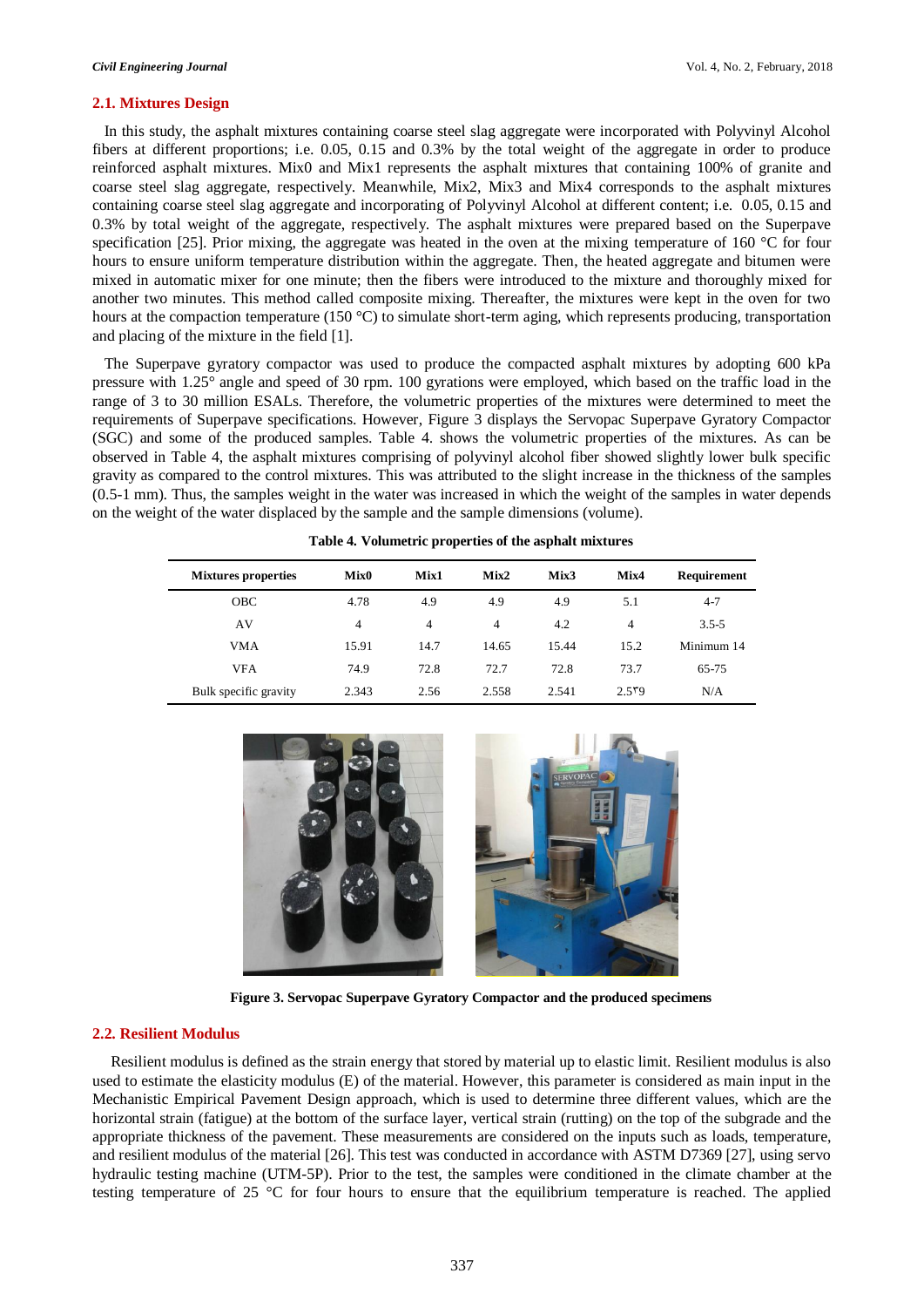#### **2.1. Mixtures Design**

 In this study, the asphalt mixtures containing coarse steel slag aggregate were incorporated with Polyvinyl Alcohol fibers at different proportions; i.e. 0.05, 0.15 and 0.3% by the total weight of the aggregate in order to produce reinforced asphalt mixtures. Mix0 and Mix1 represents the asphalt mixtures that containing 100% of granite and coarse steel slag aggregate, respectively. Meanwhile, Mix2, Mix3 and Mix4 corresponds to the asphalt mixtures containing coarse steel slag aggregate and incorporating of Polyvinyl Alcohol at different content; i.e. 0.05, 0.15 and 0.3% by total weight of the aggregate, respectively. The asphalt mixtures were prepared based on the Superpave specification [25]. Prior mixing, the aggregate was heated in the oven at the mixing temperature of 160  $\degree$ C for four hours to ensure uniform temperature distribution within the aggregate. Then, the heated aggregate and bitumen were mixed in automatic mixer for one minute; then the fibers were introduced to the mixture and thoroughly mixed for another two minutes. This method called composite mixing. Thereafter, the mixtures were kept in the oven for two hours at the compaction temperature (150 °C) to simulate short-term aging, which represents producing, transportation and placing of the mixture in the field [1].

 The Superpave gyratory compactor was used to produce the compacted asphalt mixtures by adopting 600 kPa pressure with 1.25° angle and speed of 30 rpm. 100 gyrations were employed, which based on the traffic load in the range of 3 to 30 million ESALs. Therefore, the volumetric properties of the mixtures were determined to meet the requirements of Superpave specifications. However, Figure 3 displays the Servopac Superpave Gyratory Compactor (SGC) and some of the produced samples. Table 4. shows the volumetric properties of the mixtures. As can be observed in Table 4, the asphalt mixtures comprising of polyvinyl alcohol fiber showed slightly lower bulk specific gravity as compared to the control mixtures. This was attributed to the slight increase in the thickness of the samples (0.5-1 mm). Thus, the samples weight in the water was increased in which the weight of the samples in water depends on the weight of the water displaced by the sample and the sample dimensions (volume).

| <b>Mixtures properties</b> | Mix <sub>0</sub> | Mix1 | Mix2  | Mix3  | Mix4  | Requirement |
|----------------------------|------------------|------|-------|-------|-------|-------------|
| <b>OBC</b>                 | 4.78             | 4.9  | 4.9   | 4.9   | 5.1   | $4 - 7$     |
| AV                         | $\overline{4}$   | 4    | 4     | 4.2   | 4     | $3.5 - 5$   |
| <b>VMA</b>                 | 15.91            | 14.7 | 14.65 | 15.44 | 15.2  | Minimum 14  |
| <b>VFA</b>                 | 74.9             | 72.8 | 72.7  | 72.8  | 73.7  | 65-75       |
| Bulk specific gravity      | 2.343            | 2.56 | 2.558 | 2.541 | 2.559 | N/A         |

**Table 4. Volumetric properties of the asphalt mixtures**



**Figure 3. Servopac Superpave Gyratory Compactor and the produced specimens**

#### **2.2. Resilient Modulus**

Resilient modulus is defined as the strain energy that stored by material up to elastic limit. Resilient modulus is also used to estimate the elasticity modulus (E) of the material. However, this parameter is considered as main input in the Mechanistic Empirical Pavement Design approach, which is used to determine three different values, which are the horizontal strain (fatigue) at the bottom of the surface layer, vertical strain (rutting) on the top of the subgrade and the appropriate thickness of the pavement. These measurements are considered on the inputs such as loads, temperature, and resilient modulus of the material [26]. This test was conducted in accordance with ASTM D7369 [27], using servo hydraulic testing machine (UTM-5P). Prior to the test, the samples were conditioned in the climate chamber at the testing temperature of 25 °C for four hours to ensure that the equilibrium temperature is reached. The applied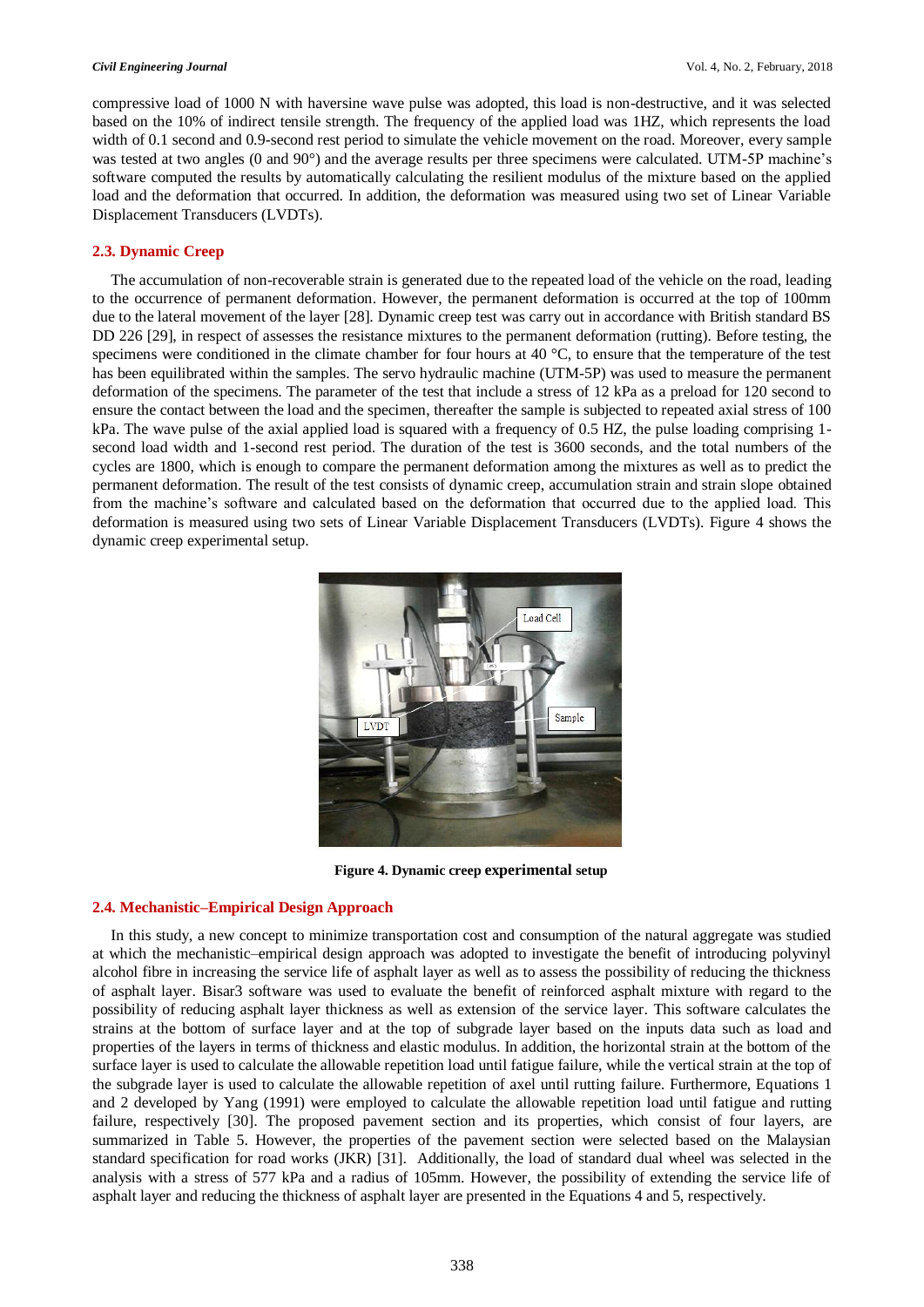compressive load of 1000 N with haversine wave pulse was adopted, this load is non-destructive, and it was selected based on the 10% of indirect tensile strength. The frequency of the applied load was 1HZ, which represents the load width of 0.1 second and 0.9-second rest period to simulate the vehicle movement on the road. Moreover, every sample was tested at two angles (0 and 90°) and the average results per three specimens were calculated. UTM-5P machine's software computed the results by automatically calculating the resilient modulus of the mixture based on the applied load and the deformation that occurred. In addition, the deformation was measured using two set of Linear Variable Displacement Transducers (LVDTs).

#### **2.3. Dynamic Creep**

The accumulation of non-recoverable strain is generated due to the repeated load of the vehicle on the road, leading to the occurrence of permanent deformation. However, the permanent deformation is occurred at the top of 100mm due to the lateral movement of the layer [28]. Dynamic creep test was carry out in accordance with British standard BS DD 226 [29], in respect of assesses the resistance mixtures to the permanent deformation (rutting). Before testing, the specimens were conditioned in the climate chamber for four hours at 40 °C, to ensure that the temperature of the test has been equilibrated within the samples. The servo hydraulic machine (UTM-5P) was used to measure the permanent deformation of the specimens. The parameter of the test that include a stress of 12 kPa as a preload for 120 second to ensure the contact between the load and the specimen, thereafter the sample is subjected to repeated axial stress of 100 kPa. The wave pulse of the axial applied load is squared with a frequency of 0.5 HZ, the pulse loading comprising 1 second load width and 1-second rest period. The duration of the test is 3600 seconds, and the total numbers of the cycles are 1800, which is enough to compare the permanent deformation among the mixtures as well as to predict the permanent deformation. The result of the test consists of dynamic creep, accumulation strain and strain slope obtained from the machine's software and calculated based on the deformation that occurred due to the applied load. This deformation is measured using two sets of Linear Variable Displacement Transducers (LVDTs). Figure 4 shows the dynamic creep experimental setup.



**Figure 4. Dynamic creep experimental setup** 

#### **2.4. Mechanistic–Empirical Design Approach**

In this study, a new concept to minimize transportation cost and consumption of the natural aggregate was studied at which the mechanistic–empirical design approach was adopted to investigate the benefit of introducing polyvinyl alcohol fibre in increasing the service life of asphalt layer as well as to assess the possibility of reducing the thickness of asphalt layer. Bisar3 software was used to evaluate the benefit of reinforced asphalt mixture with regard to the possibility of reducing asphalt layer thickness as well as extension of the service layer. This software calculates the strains at the bottom of surface layer and at the top of subgrade layer based on the inputs data such as load and properties of the layers in terms of thickness and elastic modulus. In addition, the horizontal strain at the bottom of the surface layer is used to calculate the allowable repetition load until fatigue failure, while the vertical strain at the top of the subgrade layer is used to calculate the allowable repetition of axel until rutting failure. Furthermore, Equations 1 and 2 developed by Yang (1991) were employed to calculate the allowable repetition load until fatigue and rutting failure, respectively [30]. The proposed pavement section and its properties, which consist of four layers, are summarized in Table 5. However, the properties of the pavement section were selected based on the Malaysian standard specification for road works (JKR) [31]. Additionally, the load of standard dual wheel was selected in the analysis with a stress of 577 kPa and a radius of 105mm. However, the possibility of extending the service life of asphalt layer and reducing the thickness of asphalt layer are presented in the Equations 4 and 5, respectively.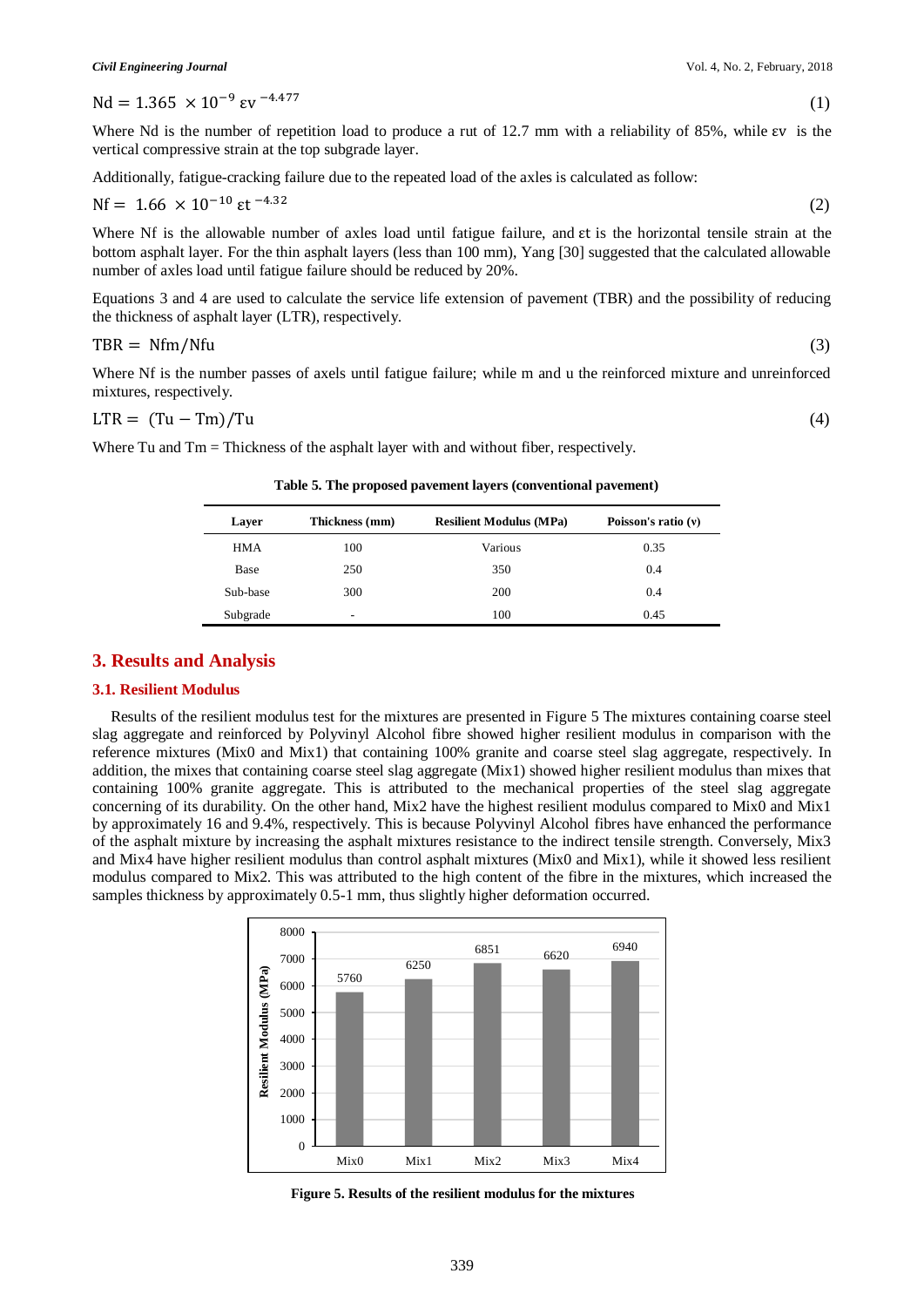Nd =  $1.365 \times 10^{-9}$  εv<sup>-4.477</sup>

Where Nd is the number of repetition load to produce a rut of 12.7 mm with a reliability of 85%, while εv is the vertical compressive strain at the top subgrade layer.

Additionally, fatigue-cracking failure due to the repeated load of the axles is calculated as follow:

$$
Nf = 1.66 \times 10^{-10} \text{ et }^{-4.32}
$$

Where Nf is the allowable number of axles load until fatigue failure, and εt is the horizontal tensile strain at the bottom asphalt layer. For the thin asphalt layers (less than 100 mm), Yang [30] suggested that the calculated allowable number of axles load until fatigue failure should be reduced by 20%.

(2)

Equations 3 and 4 are used to calculate the service life extension of pavement (TBR) and the possibility of reducing the thickness of asphalt layer (LTR), respectively.

$$
TBR = Nfm/Nfu \tag{3}
$$

Where Nf is the number passes of axels until fatigue failure; while m and u the reinforced mixture and unreinforced mixtures, respectively.

$$
LTR = (Tu - Tm)/Tu
$$
\n<sup>(4)</sup>

Where Tu and Tm = Thickness of the asphalt layer with and without fiber, respectively.

| Laver    | Thickness (mm) | <b>Resilient Modulus (MPa)</b> | Poisson's ratio $(v)$ |  |  |
|----------|----------------|--------------------------------|-----------------------|--|--|
| HMA      | 100            | Various                        | 0.35                  |  |  |
| Base     | 250            | 350                            | 0.4                   |  |  |
| Sub-base | 300            | 200                            | 0.4                   |  |  |
| Subgrade | -              | 100                            | 0.45                  |  |  |

 **Table 5. The proposed pavement layers (conventional pavement)**

#### **3. Results and Analysis**

#### **3.1. Resilient Modulus**

Results of the resilient modulus test for the mixtures are presented in Figure 5 The mixtures containing coarse steel slag aggregate and reinforced by Polyvinyl Alcohol fibre showed higher resilient modulus in comparison with the reference mixtures (Mix0 and Mix1) that containing 100% granite and coarse steel slag aggregate, respectively. In addition, the mixes that containing coarse steel slag aggregate (Mix1) showed higher resilient modulus than mixes that containing 100% granite aggregate. This is attributed to the mechanical properties of the steel slag aggregate concerning of its durability. On the other hand, Mix2 have the highest resilient modulus compared to Mix0 and Mix1 by approximately 16 and 9.4%, respectively. This is because Polyvinyl Alcohol fibres have enhanced the performance of the asphalt mixture by increasing the asphalt mixtures resistance to the indirect tensile strength. Conversely, Mix3 and Mix4 have higher resilient modulus than control asphalt mixtures (Mix0 and Mix1), while it showed less resilient modulus compared to Mix2. This was attributed to the high content of the fibre in the mixtures, which increased the samples thickness by approximately 0.5-1 mm, thus slightly higher deformation occurred.



**Figure 5. Results of the resilient modulus for the mixtures**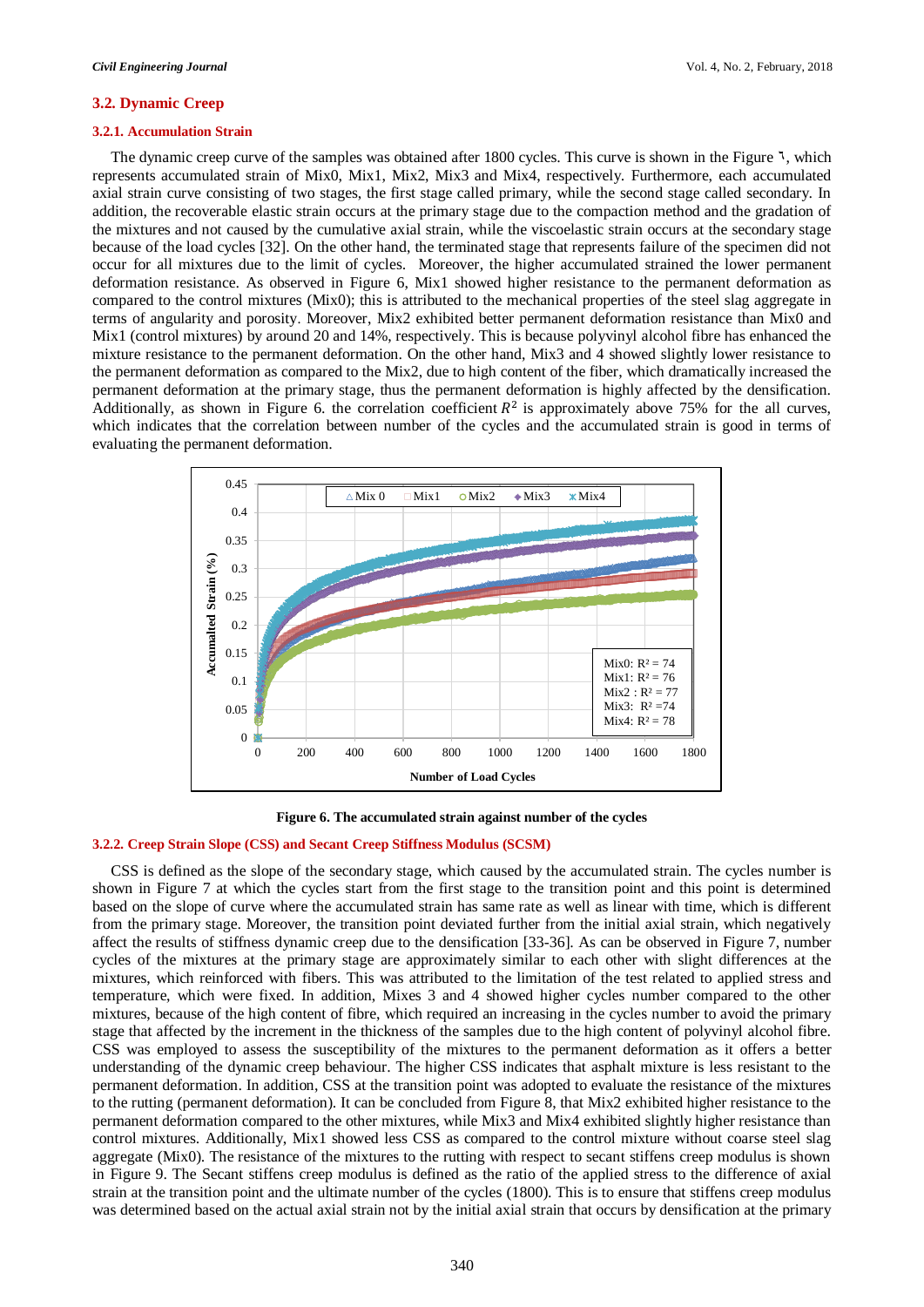#### **3.2. Dynamic Creep**

#### **3.2.1. Accumulation Strain**

The dynamic creep curve of the samples was obtained after 1800 cycles. This curve is shown in the Figure  $\lambda$ , which represents accumulated strain of Mix0, Mix1, Mix2, Mix3 and Mix4, respectively. Furthermore, each accumulated axial strain curve consisting of two stages, the first stage called primary, while the second stage called secondary. In addition, the recoverable elastic strain occurs at the primary stage due to the compaction method and the gradation of the mixtures and not caused by the cumulative axial strain, while the viscoelastic strain occurs at the secondary stage because of the load cycles [32]. On the other hand, the terminated stage that represents failure of the specimen did not occur for all mixtures due to the limit of cycles. Moreover, the higher accumulated strained the lower permanent deformation resistance. As observed in Figure 6, Mix1 showed higher resistance to the permanent deformation as compared to the control mixtures (Mix0); this is attributed to the mechanical properties of the steel slag aggregate in terms of angularity and porosity. Moreover, Mix2 exhibited better permanent deformation resistance than Mix0 and Mix1 (control mixtures) by around 20 and 14%, respectively. This is because polyvinyl alcohol fibre has enhanced the mixture resistance to the permanent deformation. On the other hand, Mix3 and 4 showed slightly lower resistance to the permanent deformation as compared to the Mix2, due to high content of the fiber, which dramatically increased the permanent deformation at the primary stage, thus the permanent deformation is highly affected by the densification. Additionally, as shown in Figure 6. the correlation coefficient  $R^2$  is approximately above 75% for the all curves, which indicates that the correlation between number of the cycles and the accumulated strain is good in terms of evaluating the permanent deformation.



**Figure 6. The accumulated strain against number of the cycles**

#### **3.2.2. Creep Strain Slope (CSS) and Secant Creep Stiffness Modulus (SCSM)**

CSS is defined as the slope of the secondary stage, which caused by the accumulated strain. The cycles number is shown in Figure 7 at which the cycles start from the first stage to the transition point and this point is determined based on the slope of curve where the accumulated strain has same rate as well as linear with time, which is different from the primary stage. Moreover, the transition point deviated further from the initial axial strain, which negatively affect the results of stiffness dynamic creep due to the densification [33-36]. As can be observed in Figure 7, number cycles of the mixtures at the primary stage are approximately similar to each other with slight differences at the mixtures, which reinforced with fibers. This was attributed to the limitation of the test related to applied stress and temperature, which were fixed. In addition, Mixes 3 and 4 showed higher cycles number compared to the other mixtures, because of the high content of fibre, which required an increasing in the cycles number to avoid the primary stage that affected by the increment in the thickness of the samples due to the high content of polyvinyl alcohol fibre. CSS was employed to assess the susceptibility of the mixtures to the permanent deformation as it offers a better understanding of the dynamic creep behaviour. The higher CSS indicates that asphalt mixture is less resistant to the permanent deformation. In addition, CSS at the transition point was adopted to evaluate the resistance of the mixtures to the rutting (permanent deformation). It can be concluded from Figure 8, that Mix2 exhibited higher resistance to the permanent deformation compared to the other mixtures, while Mix3 and Mix4 exhibited slightly higher resistance than control mixtures. Additionally, Mix1 showed less CSS as compared to the control mixture without coarse steel slag aggregate (Mix0). The resistance of the mixtures to the rutting with respect to secant stiffens creep modulus is shown in Figure 9. The Secant stiffens creep modulus is defined as the ratio of the applied stress to the difference of axial strain at the transition point and the ultimate number of the cycles (1800). This is to ensure that stiffens creep modulus was determined based on the actual axial strain not by the initial axial strain that occurs by densification at the primary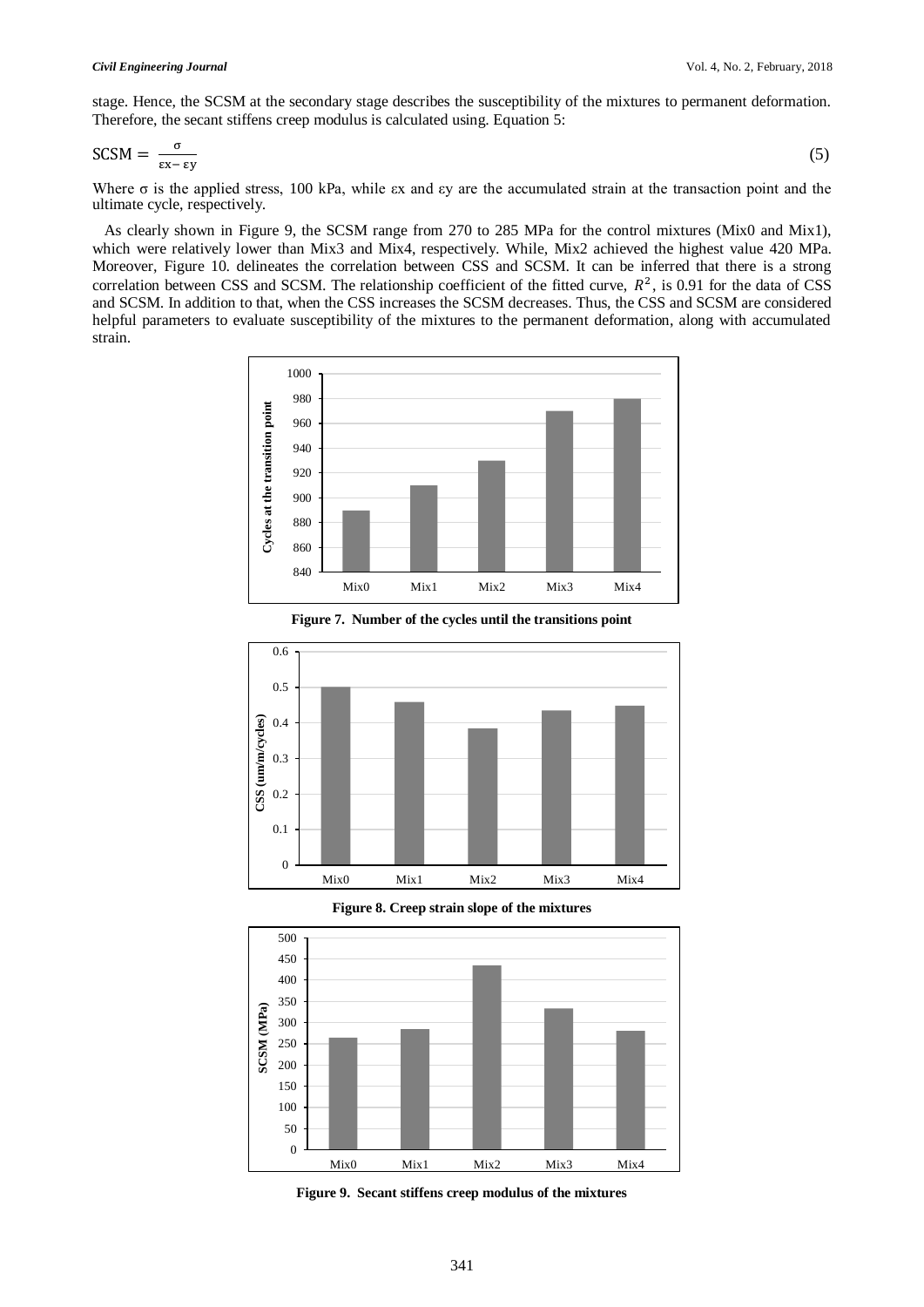stage. Hence, the SCSM at the secondary stage describes the susceptibility of the mixtures to permanent deformation. Therefore, the secant stiffens creep modulus is calculated using. Equation 5:

$$
SCSM = \frac{\sigma}{\varepsilon x - \varepsilon y} \tag{5}
$$

Where  $\sigma$  is the applied stress, 100 kPa, while  $\epsilon$ x and  $\epsilon$ y are the accumulated strain at the transaction point and the ultimate cycle, respectively.

 As clearly shown in Figure 9, the SCSM range from 270 to 285 MPa for the control mixtures (Mix0 and Mix1), which were relatively lower than Mix3 and Mix4, respectively. While, Mix2 achieved the highest value 420 MPa. Moreover, Figure 10. delineates the correlation between CSS and SCSM. It can be inferred that there is a strong correlation between CSS and SCSM. The relationship coefficient of the fitted curve,  $R^2$ , is 0.91 for the data of CSS and SCSM. In addition to that, when the CSS increases the SCSM decreases. Thus, the CSS and SCSM are considered helpful parameters to evaluate susceptibility of the mixtures to the permanent deformation, along with accumulated strain.





**Figure 7. Number of the cycles until the transitions point**

**Figure 8. Creep strain slope of the mixtures**



**Figure 9. Secant stiffens creep modulus of the mixtures**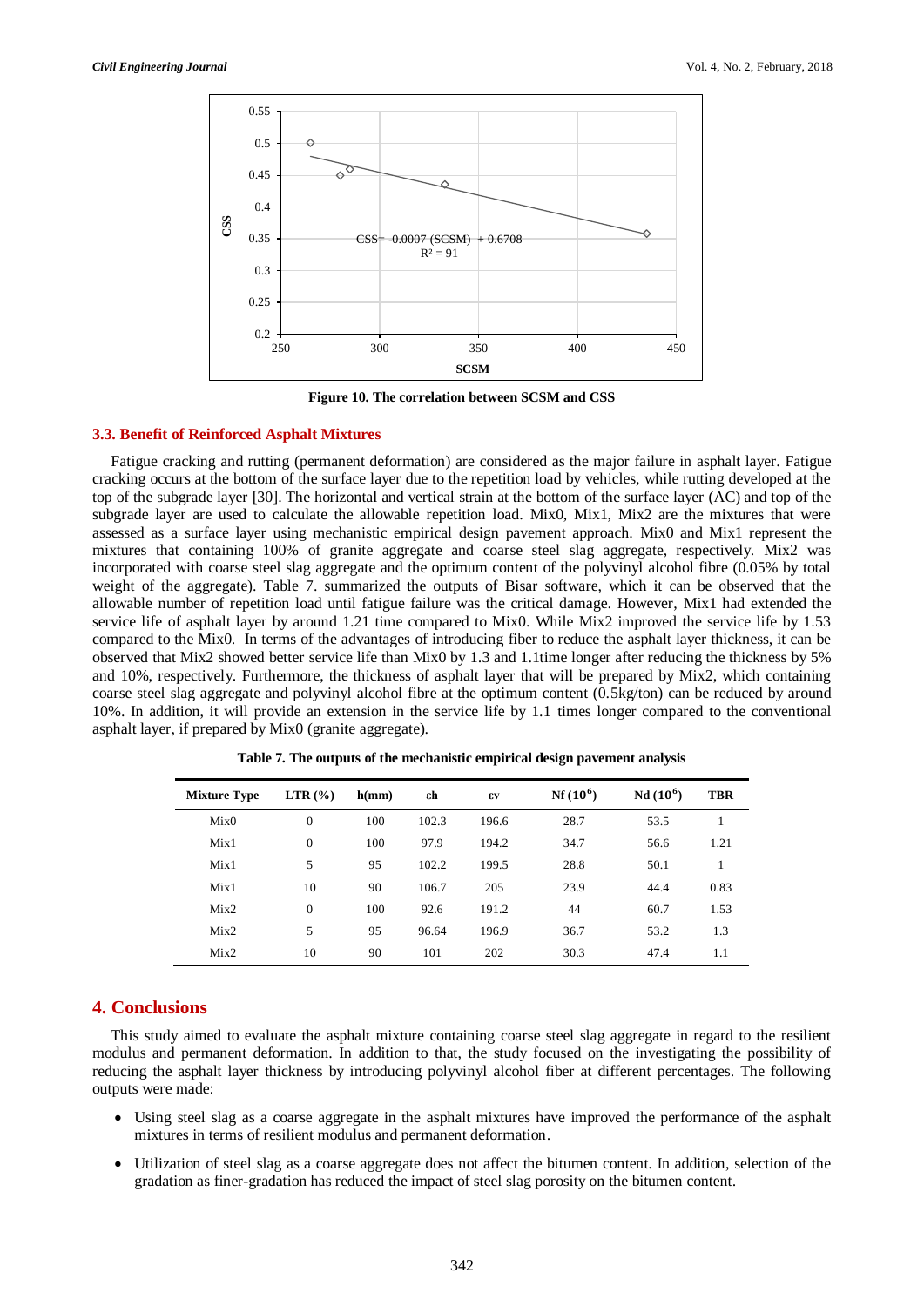

**Figure 10. The correlation between SCSM and CSS**

#### **3.3. Benefit of Reinforced Asphalt Mixtures**

Fatigue cracking and rutting (permanent deformation) are considered as the major failure in asphalt layer. Fatigue cracking occurs at the bottom of the surface layer due to the repetition load by vehicles, while rutting developed at the top of the subgrade layer [30]. The horizontal and vertical strain at the bottom of the surface layer (AC) and top of the subgrade layer are used to calculate the allowable repetition load. Mix0, Mix1, Mix2 are the mixtures that were assessed as a surface layer using mechanistic empirical design pavement approach. Mix0 and Mix1 represent the mixtures that containing 100% of granite aggregate and coarse steel slag aggregate, respectively. Mix2 was incorporated with coarse steel slag aggregate and the optimum content of the polyvinyl alcohol fibre (0.05% by total weight of the aggregate). Table 7. summarized the outputs of Bisar software, which it can be observed that the allowable number of repetition load until fatigue failure was the critical damage. However, Mix1 had extended the service life of asphalt layer by around 1.21 time compared to Mix0. While Mix2 improved the service life by 1.53 compared to the Mix0. In terms of the advantages of introducing fiber to reduce the asphalt layer thickness, it can be observed that Mix2 showed better service life than Mix0 by 1.3 and 1.1time longer after reducing the thickness by 5% and 10%, respectively. Furthermore, the thickness of asphalt layer that will be prepared by Mix2, which containing coarse steel slag aggregate and polyvinyl alcohol fibre at the optimum content (0.5kg/ton) can be reduced by around 10%. In addition, it will provide an extension in the service life by 1.1 times longer compared to the conventional asphalt layer, if prepared by Mix0 (granite aggregate).

| <b>Mixture Type</b> | $LTR$ $(\frac{9}{6})$ | h(mm) | εh    | εv    | $Nf(10^6)$ | $Nd(10^6)$ | <b>TBR</b> |
|---------------------|-----------------------|-------|-------|-------|------------|------------|------------|
| Mix0                | $\Omega$              | 100   | 102.3 | 196.6 | 28.7       | 53.5       |            |
| Mix1                | $\mathbf{0}$          | 100   | 97.9  | 194.2 | 34.7       | 56.6       | 1.21       |
| Mix1                | 5                     | 95    | 102.2 | 199.5 | 28.8       | 50.1       |            |
| Mix1                | 10                    | 90    | 106.7 | 205   | 23.9       | 44.4       | 0.83       |
| Mix2                | $\Omega$              | 100   | 92.6  | 191.2 | 44         | 60.7       | 1.53       |
| Mix2                | 5                     | 95    | 96.64 | 196.9 | 36.7       | 53.2       | 1.3        |
| Mix2                | 10                    | 90    | 101   | 202   | 30.3       | 47.4       | 1.1        |

**Table 7. The outputs of the mechanistic empirical design pavement analysis**

#### **4. Conclusions**

This study aimed to evaluate the asphalt mixture containing coarse steel slag aggregate in regard to the resilient modulus and permanent deformation. In addition to that, the study focused on the investigating the possibility of reducing the asphalt layer thickness by introducing polyvinyl alcohol fiber at different percentages. The following outputs were made:

- Using steel slag as a coarse aggregate in the asphalt mixtures have improved the performance of the asphalt mixtures in terms of resilient modulus and permanent deformation.
- Utilization of steel slag as a coarse aggregate does not affect the bitumen content. In addition, selection of the gradation as finer-gradation has reduced the impact of steel slag porosity on the bitumen content.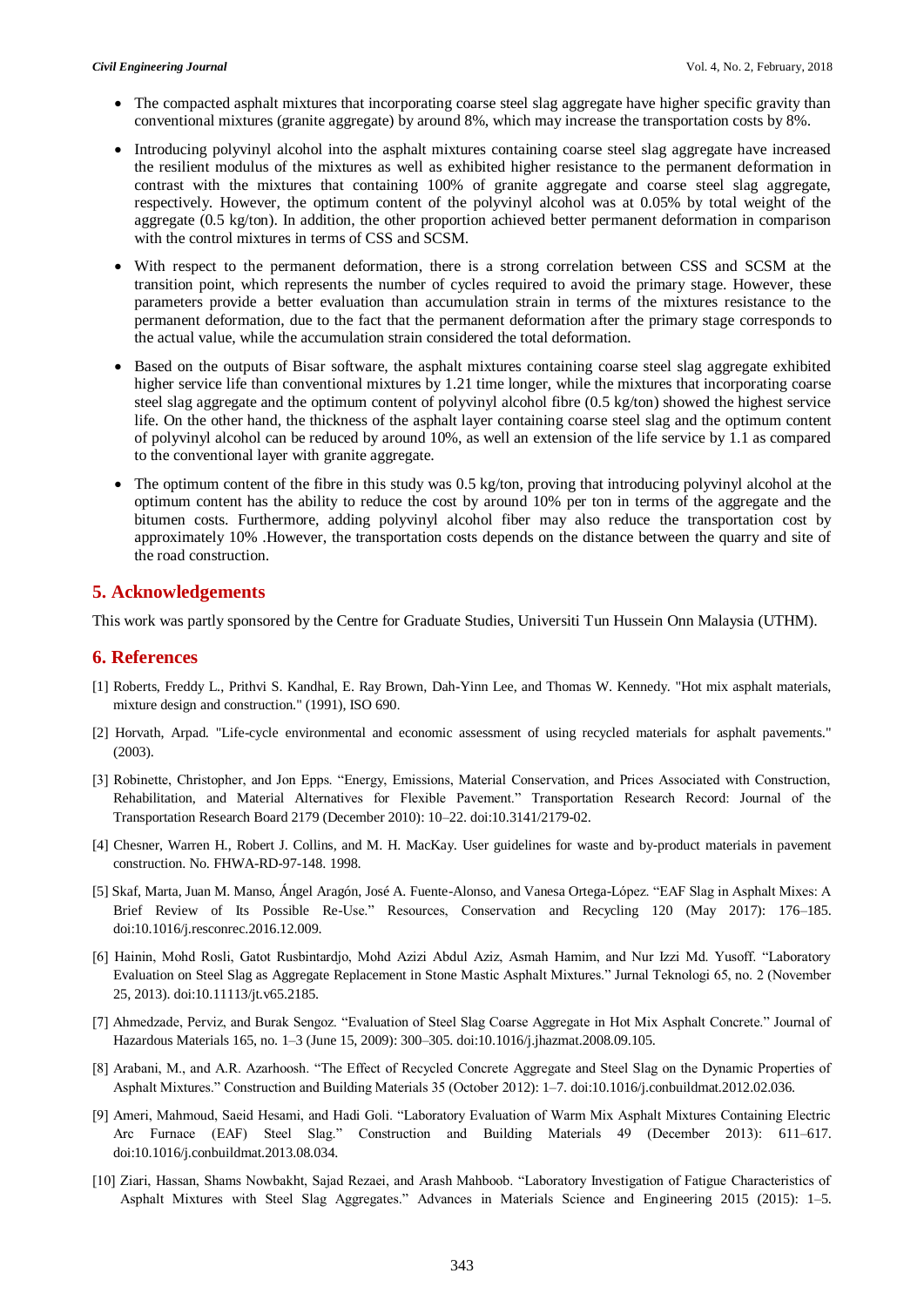- The compacted asphalt mixtures that incorporating coarse steel slag aggregate have higher specific gravity than conventional mixtures (granite aggregate) by around 8%, which may increase the transportation costs by 8%.
- Introducing polyvinyl alcohol into the asphalt mixtures containing coarse steel slag aggregate have increased the resilient modulus of the mixtures as well as exhibited higher resistance to the permanent deformation in contrast with the mixtures that containing 100% of granite aggregate and coarse steel slag aggregate, respectively. However, the optimum content of the polyvinyl alcohol was at 0.05% by total weight of the aggregate (0.5 kg/ton). In addition, the other proportion achieved better permanent deformation in comparison with the control mixtures in terms of CSS and SCSM.
- With respect to the permanent deformation, there is a strong correlation between CSS and SCSM at the transition point, which represents the number of cycles required to avoid the primary stage. However, these parameters provide a better evaluation than accumulation strain in terms of the mixtures resistance to the permanent deformation, due to the fact that the permanent deformation after the primary stage corresponds to the actual value, while the accumulation strain considered the total deformation.
- Based on the outputs of Bisar software, the asphalt mixtures containing coarse steel slag aggregate exhibited higher service life than conventional mixtures by 1.21 time longer, while the mixtures that incorporating coarse steel slag aggregate and the optimum content of polyvinyl alcohol fibre (0.5 kg/ton) showed the highest service life. On the other hand, the thickness of the asphalt layer containing coarse steel slag and the optimum content of polyvinyl alcohol can be reduced by around 10%, as well an extension of the life service by 1.1 as compared to the conventional layer with granite aggregate.
- The optimum content of the fibre in this study was 0.5 kg/ton, proving that introducing polyvinyl alcohol at the optimum content has the ability to reduce the cost by around 10% per ton in terms of the aggregate and the bitumen costs. Furthermore, adding polyvinyl alcohol fiber may also reduce the transportation cost by approximately 10% .However, the transportation costs depends on the distance between the quarry and site of the road construction.

### **5. Acknowledgements**

This work was partly sponsored by the Centre for Graduate Studies, Universiti Tun Hussein Onn Malaysia (UTHM).

#### **6. References**

- [1] Roberts, Freddy L., Prithvi S. Kandhal, E. Ray Brown, Dah-Yinn Lee, and Thomas W. Kennedy. "Hot mix asphalt materials, mixture design and construction." (1991), ISO 690.
- [2] Horvath, Arpad. "Life-cycle environmental and economic assessment of using recycled materials for asphalt pavements." (2003).
- [3] Robinette, Christopher, and Jon Epps. "Energy, Emissions, Material Conservation, and Prices Associated with Construction, Rehabilitation, and Material Alternatives for Flexible Pavement." Transportation Research Record: Journal of the Transportation Research Board 2179 (December 2010): 10–22. doi:10.3141/2179-02.
- [4] Chesner, Warren H., Robert J. Collins, and M. H. MacKay. User guidelines for waste and by-product materials in pavement construction. No. FHWA-RD-97-148. 1998.
- [5] Skaf, Marta, Juan M. Manso, Ángel Aragón, José A. Fuente-Alonso, and Vanesa Ortega-López. "EAF Slag in Asphalt Mixes: A Brief Review of Its Possible Re-Use." Resources, Conservation and Recycling 120 (May 2017): 176–185. doi:10.1016/j.resconrec.2016.12.009.
- [6] Hainin, Mohd Rosli, Gatot Rusbintardjo, Mohd Azizi Abdul Aziz, Asmah Hamim, and Nur Izzi Md. Yusoff. "Laboratory Evaluation on Steel Slag as Aggregate Replacement in Stone Mastic Asphalt Mixtures." Jurnal Teknologi 65, no. 2 (November 25, 2013). doi:10.11113/jt.v65.2185.
- [7] Ahmedzade, Perviz, and Burak Sengoz. "Evaluation of Steel Slag Coarse Aggregate in Hot Mix Asphalt Concrete." Journal of Hazardous Materials 165, no. 1–3 (June 15, 2009): 300–305. doi:10.1016/j.jhazmat.2008.09.105.
- [8] Arabani, M., and A.R. Azarhoosh. "The Effect of Recycled Concrete Aggregate and Steel Slag on the Dynamic Properties of Asphalt Mixtures." Construction and Building Materials 35 (October 2012): 1–7. doi:10.1016/j.conbuildmat.2012.02.036.
- [9] Ameri, Mahmoud, Saeid Hesami, and Hadi Goli. "Laboratory Evaluation of Warm Mix Asphalt Mixtures Containing Electric Arc Furnace (EAF) Steel Slag." Construction and Building Materials 49 (December 2013): 611–617. doi:10.1016/j.conbuildmat.2013.08.034.
- [10] Ziari, Hassan, Shams Nowbakht, Sajad Rezaei, and Arash Mahboob. "Laboratory Investigation of Fatigue Characteristics of Asphalt Mixtures with Steel Slag Aggregates." Advances in Materials Science and Engineering 2015 (2015): 1–5.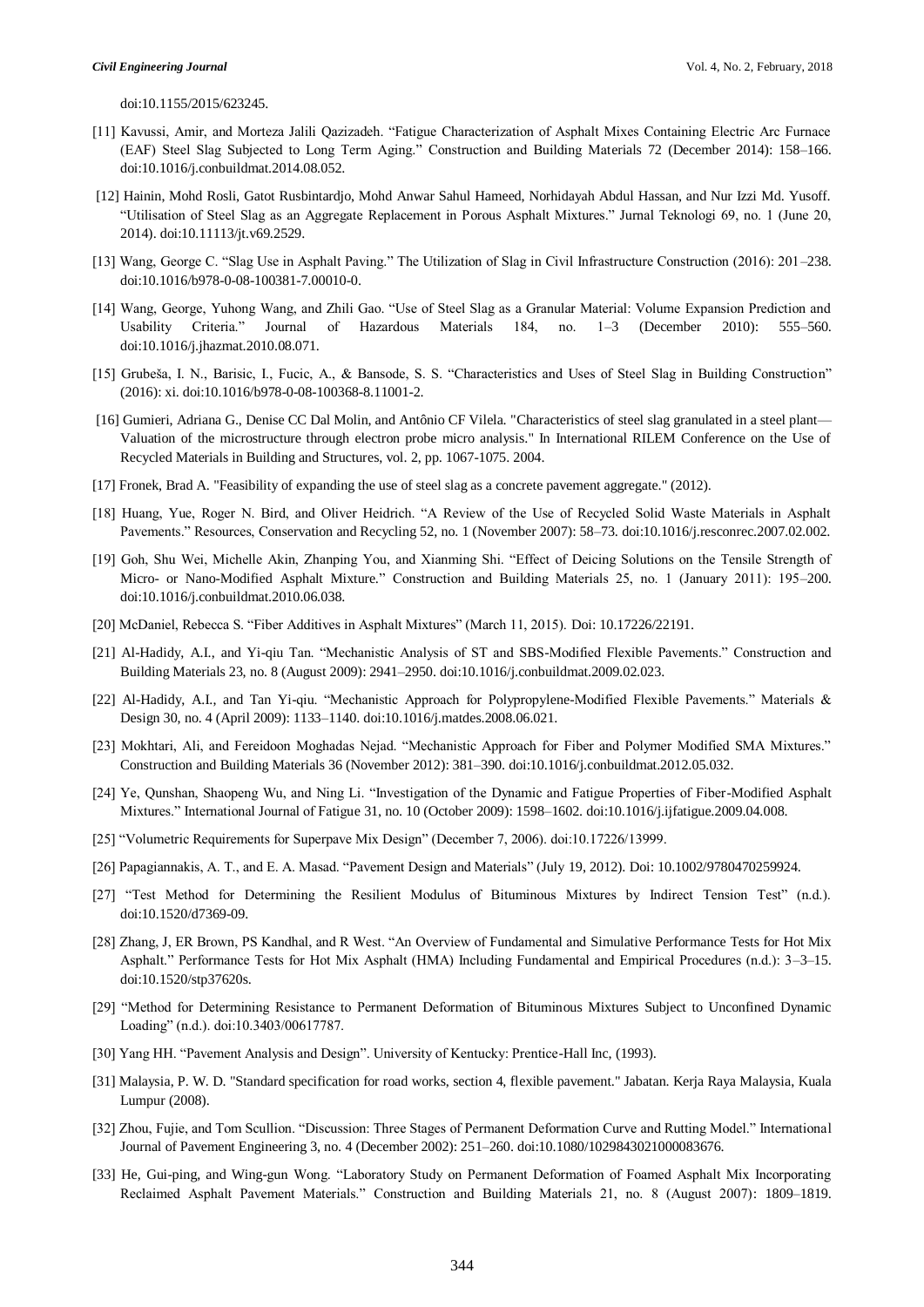doi:10.1155/2015/623245.

- [11] Kavussi, Amir, and Morteza Jalili Qazizadeh. "Fatigue Characterization of Asphalt Mixes Containing Electric Arc Furnace (EAF) Steel Slag Subjected to Long Term Aging." Construction and Building Materials 72 (December 2014): 158–166. doi:10.1016/j.conbuildmat.2014.08.052.
- [12] Hainin, Mohd Rosli, Gatot Rusbintardjo, Mohd Anwar Sahul Hameed, Norhidayah Abdul Hassan, and Nur Izzi Md. Yusoff. "Utilisation of Steel Slag as an Aggregate Replacement in Porous Asphalt Mixtures." Jurnal Teknologi 69, no. 1 (June 20, 2014). doi:10.11113/jt.v69.2529.
- [13] Wang, George C. "Slag Use in Asphalt Paving." The Utilization of Slag in Civil Infrastructure Construction (2016): 201–238. doi:10.1016/b978-0-08-100381-7.00010-0.
- [14] Wang, George, Yuhong Wang, and Zhili Gao. "Use of Steel Slag as a Granular Material: Volume Expansion Prediction and Usability Criteria." Journal of Hazardous Materials 184, no. 1–3 (December 2010): 555–560. doi:10.1016/j.jhazmat.2010.08.071.
- [15] Grubeša, I. N., Barisic, I., Fucic, A., & Bansode, S. S. "Characteristics and Uses of Steel Slag in Building Construction" (2016): xi. doi:10.1016/b978-0-08-100368-8.11001-2.
- [16] Gumieri, Adriana G., Denise CC Dal Molin, and Antônio CF Vilela. "Characteristics of steel slag granulated in a steel plant— Valuation of the microstructure through electron probe micro analysis." In International RILEM Conference on the Use of Recycled Materials in Building and Structures, vol. 2, pp. 1067-1075. 2004.
- [17] Fronek, Brad A. "Feasibility of expanding the use of steel slag as a concrete pavement aggregate." (2012).
- [18] Huang, Yue, Roger N. Bird, and Oliver Heidrich. "A Review of the Use of Recycled Solid Waste Materials in Asphalt Pavements." Resources, Conservation and Recycling 52, no. 1 (November 2007): 58–73. doi:10.1016/j.resconrec.2007.02.002.
- [19] Goh, Shu Wei, Michelle Akin, Zhanping You, and Xianming Shi. "Effect of Deicing Solutions on the Tensile Strength of Micro- or Nano-Modified Asphalt Mixture." Construction and Building Materials 25, no. 1 (January 2011): 195–200. doi:10.1016/j.conbuildmat.2010.06.038.
- [20] McDaniel, Rebecca S. "Fiber Additives in Asphalt Mixtures" (March 11, 2015). Doi: 10.17226/22191.
- [21] Al-Hadidy, A.I., and Yi-qiu Tan. "Mechanistic Analysis of ST and SBS-Modified Flexible Pavements." Construction and Building Materials 23, no. 8 (August 2009): 2941–2950. doi:10.1016/j.conbuildmat.2009.02.023.
- [22] Al-Hadidy, A.I., and Tan Yi-qiu. "Mechanistic Approach for Polypropylene-Modified Flexible Pavements." Materials & Design 30, no. 4 (April 2009): 1133–1140. doi:10.1016/j.matdes.2008.06.021.
- [23] Mokhtari, Ali, and Fereidoon Moghadas Nejad. "Mechanistic Approach for Fiber and Polymer Modified SMA Mixtures." Construction and Building Materials 36 (November 2012): 381–390. doi:10.1016/j.conbuildmat.2012.05.032.
- [24] Ye, Qunshan, Shaopeng Wu, and Ning Li. "Investigation of the Dynamic and Fatigue Properties of Fiber-Modified Asphalt Mixtures." International Journal of Fatigue 31, no. 10 (October 2009): 1598–1602. doi:10.1016/j.ijfatigue.2009.04.008.
- [25] "Volumetric Requirements for Superpave Mix Design" (December 7, 2006). doi:10.17226/13999.
- [26] Papagiannakis, A. T., and E. A. Masad. "Pavement Design and Materials" (July 19, 2012). Doi: 10.1002/9780470259924.
- [27] "Test Method for Determining the Resilient Modulus of Bituminous Mixtures by Indirect Tension Test" (n.d.). doi:10.1520/d7369-09.
- [28] Zhang, J, ER Brown, PS Kandhal, and R West. "An Overview of Fundamental and Simulative Performance Tests for Hot Mix Asphalt." Performance Tests for Hot Mix Asphalt (HMA) Including Fundamental and Empirical Procedures (n.d.): 3–3–15. doi:10.1520/stp37620s.
- [29] "Method for Determining Resistance to Permanent Deformation of Bituminous Mixtures Subject to Unconfined Dynamic Loading" (n.d.). doi:10.3403/00617787.
- [30] Yang HH. "Pavement Analysis and Design". University of Kentucky: Prentice-Hall Inc, (1993).
- [31] Malaysia, P. W. D. "Standard specification for road works, section 4, flexible pavement." Jabatan. Kerja Raya Malaysia, Kuala Lumpur (2008).
- [32] Zhou, Fujie, and Tom Scullion. "Discussion: Three Stages of Permanent Deformation Curve and Rutting Model." International Journal of Pavement Engineering 3, no. 4 (December 2002): 251–260. doi:10.1080/1029843021000083676.
- [33] He, Gui-ping, and Wing-gun Wong. "Laboratory Study on Permanent Deformation of Foamed Asphalt Mix Incorporating Reclaimed Asphalt Pavement Materials." Construction and Building Materials 21, no. 8 (August 2007): 1809–1819.